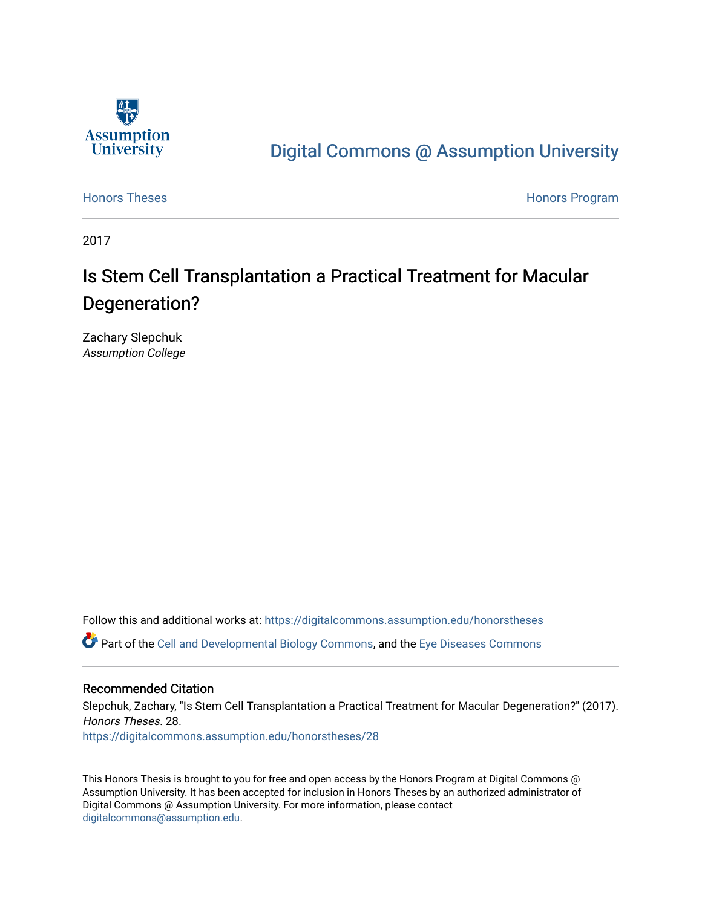

# [Digital Commons @ Assumption University](https://digitalcommons.assumption.edu/)

[Honors Theses](https://digitalcommons.assumption.edu/honorstheses) **Honors** Program

2017

# Is Stem Cell Transplantation a Practical Treatment for Macular Degeneration?

Zachary Slepchuk Assumption College

Follow this and additional works at: [https://digitalcommons.assumption.edu/honorstheses](https://digitalcommons.assumption.edu/honorstheses?utm_source=digitalcommons.assumption.edu%2Fhonorstheses%2F28&utm_medium=PDF&utm_campaign=PDFCoverPages)

Part of the [Cell and Developmental Biology Commons,](http://network.bepress.com/hgg/discipline/8?utm_source=digitalcommons.assumption.edu%2Fhonorstheses%2F28&utm_medium=PDF&utm_campaign=PDFCoverPages) and the [Eye Diseases Commons](http://network.bepress.com/hgg/discipline/957?utm_source=digitalcommons.assumption.edu%2Fhonorstheses%2F28&utm_medium=PDF&utm_campaign=PDFCoverPages) 

## Recommended Citation

Slepchuk, Zachary, "Is Stem Cell Transplantation a Practical Treatment for Macular Degeneration?" (2017). Honors Theses. 28.

[https://digitalcommons.assumption.edu/honorstheses/28](https://digitalcommons.assumption.edu/honorstheses/28?utm_source=digitalcommons.assumption.edu%2Fhonorstheses%2F28&utm_medium=PDF&utm_campaign=PDFCoverPages) 

This Honors Thesis is brought to you for free and open access by the Honors Program at Digital Commons @ Assumption University. It has been accepted for inclusion in Honors Theses by an authorized administrator of Digital Commons @ Assumption University. For more information, please contact [digitalcommons@assumption.edu](mailto:digitalcommons@assumption.edu).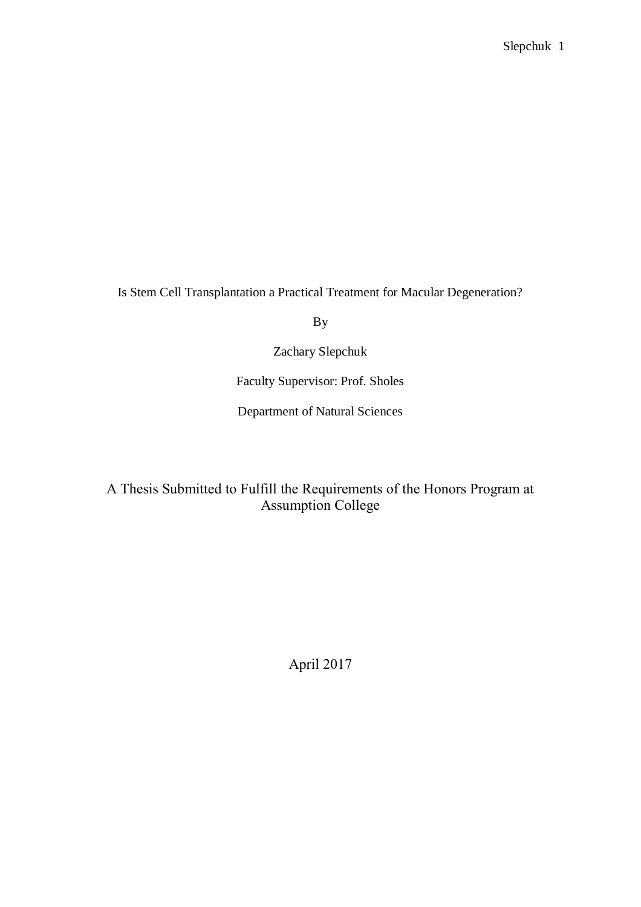Is Stem Cell Transplantation a Practical Treatment for Macular Degeneration?

By

Zachary Slepchuk

Faculty Supervisor: Prof. Sholes

Department of Natural Sciences

A Thesis Submitted to Fulfill the Requirements of the Honors Program at Assumption College

April 2017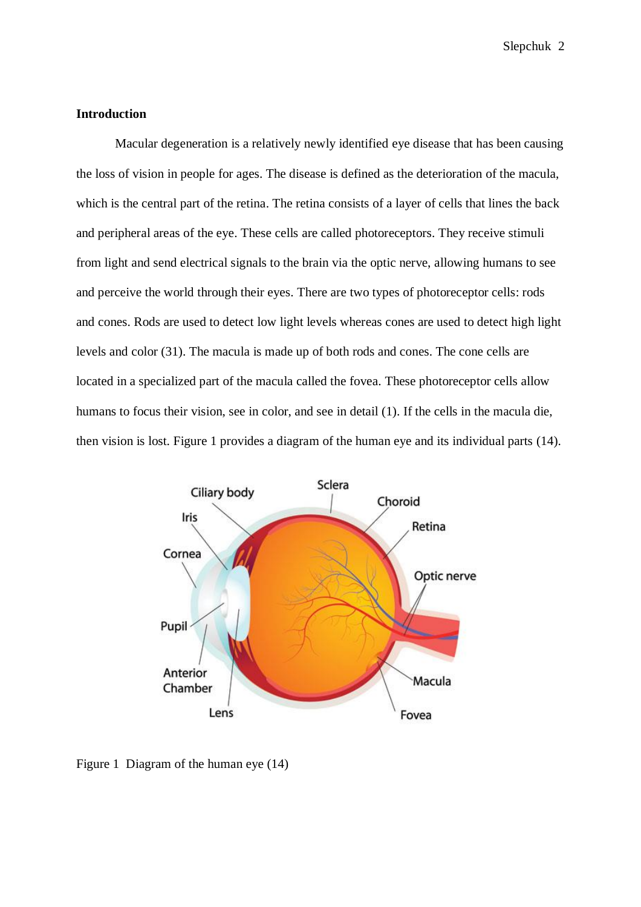# **Introduction**

Macular degeneration is a relatively newly identified eye disease that has been causing the loss of vision in people for ages. The disease is defined as the deterioration of the macula, which is the central part of the retina. The retina consists of a layer of cells that lines the back and peripheral areas of the eye. These cells are called photoreceptors. They receive stimuli from light and send electrical signals to the brain via the optic nerve, allowing humans to see and perceive the world through their eyes. There are two types of photoreceptor cells: rods and cones. Rods are used to detect low light levels whereas cones are used to detect high light levels and color (31). The macula is made up of both rods and cones. The cone cells are located in a specialized part of the macula called the fovea. These photoreceptor cells allow humans to focus their vision, see in color, and see in detail (1). If the cells in the macula die, then vision is lost. Figure 1 provides a diagram of the human eye and its individual parts (14).



Figure 1 Diagram of the human eye (14)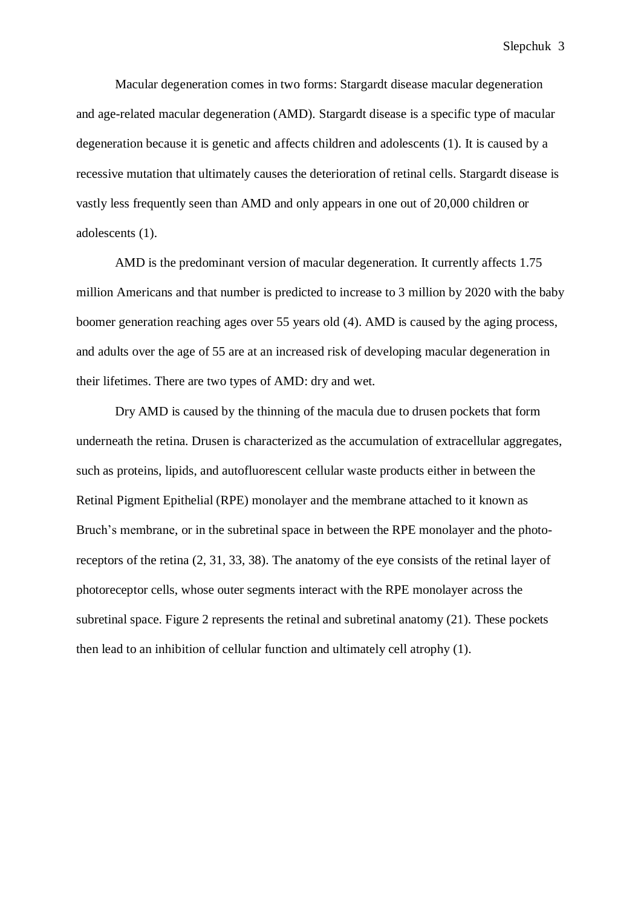Macular degeneration comes in two forms: Stargardt disease macular degeneration and age-related macular degeneration (AMD). Stargardt disease is a specific type of macular degeneration because it is genetic and affects children and adolescents (1). It is caused by a recessive mutation that ultimately causes the deterioration of retinal cells. Stargardt disease is vastly less frequently seen than AMD and only appears in one out of 20,000 children or adolescents (1).

AMD is the predominant version of macular degeneration. It currently affects 1.75 million Americans and that number is predicted to increase to 3 million by 2020 with the baby boomer generation reaching ages over 55 years old (4). AMD is caused by the aging process, and adults over the age of 55 are at an increased risk of developing macular degeneration in their lifetimes. There are two types of AMD: dry and wet.

Dry AMD is caused by the thinning of the macula due to drusen pockets that form underneath the retina. Drusen is characterized as the accumulation of extracellular aggregates, such as proteins, lipids, and autofluorescent cellular waste products either in between the Retinal Pigment Epithelial (RPE) monolayer and the membrane attached to it known as Bruch's membrane, or in the subretinal space in between the RPE monolayer and the photoreceptors of the retina (2, 31, 33, 38). The anatomy of the eye consists of the retinal layer of photoreceptor cells, whose outer segments interact with the RPE monolayer across the subretinal space. Figure 2 represents the retinal and subretinal anatomy (21). These pockets then lead to an inhibition of cellular function and ultimately cell atrophy (1).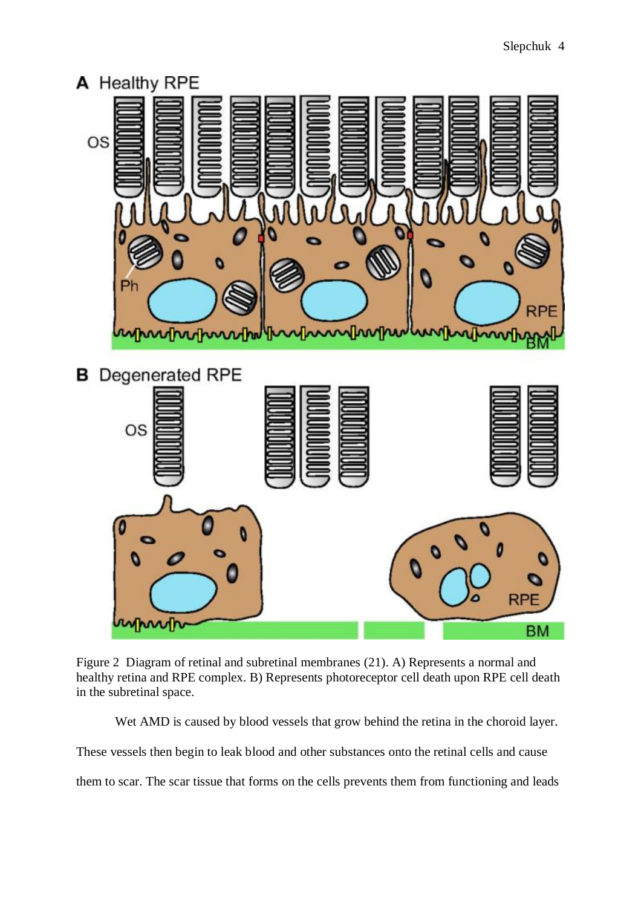

Figure 2 Diagram of retinal and subretinal membranes (21). A) Represents a normal and healthy retina and RPE complex. B) Represents photoreceptor cell death upon RPE cell death in the subretinal space.

Wet AMD is caused by blood vessels that grow behind the retina in the choroid layer.

These vessels then begin to leak blood and other substances onto the retinal cells and cause

them to scar. The scar tissue that forms on the cells prevents them from functioning and leads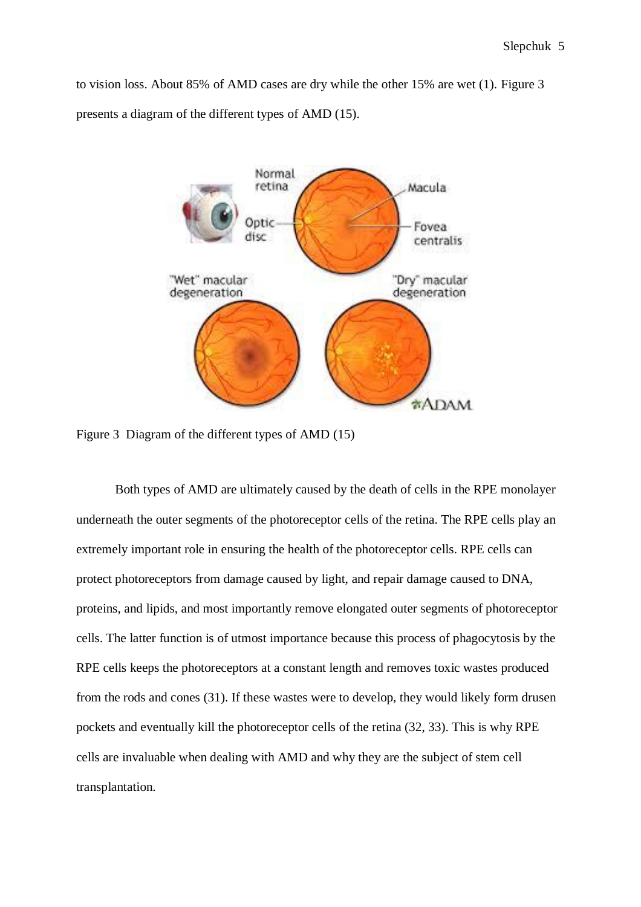to vision loss. About 85% of AMD cases are dry while the other 15% are wet (1). Figure 3 presents a diagram of the different types of AMD (15).



Figure 3 Diagram of the different types of AMD (15)

Both types of AMD are ultimately caused by the death of cells in the RPE monolayer underneath the outer segments of the photoreceptor cells of the retina. The RPE cells play an extremely important role in ensuring the health of the photoreceptor cells. RPE cells can protect photoreceptors from damage caused by light, and repair damage caused to DNA, proteins, and lipids, and most importantly remove elongated outer segments of photoreceptor cells. The latter function is of utmost importance because this process of phagocytosis by the RPE cells keeps the photoreceptors at a constant length and removes toxic wastes produced from the rods and cones (31). If these wastes were to develop, they would likely form drusen pockets and eventually kill the photoreceptor cells of the retina (32, 33). This is why RPE cells are invaluable when dealing with AMD and why they are the subject of stem cell transplantation.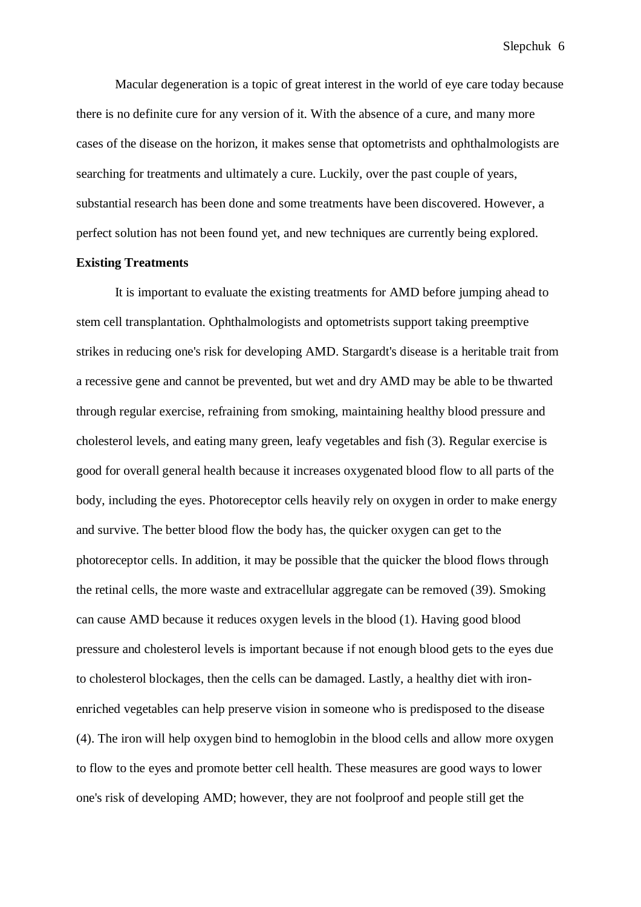Macular degeneration is a topic of great interest in the world of eye care today because there is no definite cure for any version of it. With the absence of a cure, and many more cases of the disease on the horizon, it makes sense that optometrists and ophthalmologists are searching for treatments and ultimately a cure. Luckily, over the past couple of years, substantial research has been done and some treatments have been discovered. However, a perfect solution has not been found yet, and new techniques are currently being explored.

### **Existing Treatments**

It is important to evaluate the existing treatments for AMD before jumping ahead to stem cell transplantation. Ophthalmologists and optometrists support taking preemptive strikes in reducing one's risk for developing AMD. Stargardt's disease is a heritable trait from a recessive gene and cannot be prevented, but wet and dry AMD may be able to be thwarted through regular exercise, refraining from smoking, maintaining healthy blood pressure and cholesterol levels, and eating many green, leafy vegetables and fish (3). Regular exercise is good for overall general health because it increases oxygenated blood flow to all parts of the body, including the eyes. Photoreceptor cells heavily rely on oxygen in order to make energy and survive. The better blood flow the body has, the quicker oxygen can get to the photoreceptor cells. In addition, it may be possible that the quicker the blood flows through the retinal cells, the more waste and extracellular aggregate can be removed (39). Smoking can cause AMD because it reduces oxygen levels in the blood (1). Having good blood pressure and cholesterol levels is important because if not enough blood gets to the eyes due to cholesterol blockages, then the cells can be damaged. Lastly, a healthy diet with ironenriched vegetables can help preserve vision in someone who is predisposed to the disease (4). The iron will help oxygen bind to hemoglobin in the blood cells and allow more oxygen to flow to the eyes and promote better cell health. These measures are good ways to lower one's risk of developing AMD; however, they are not foolproof and people still get the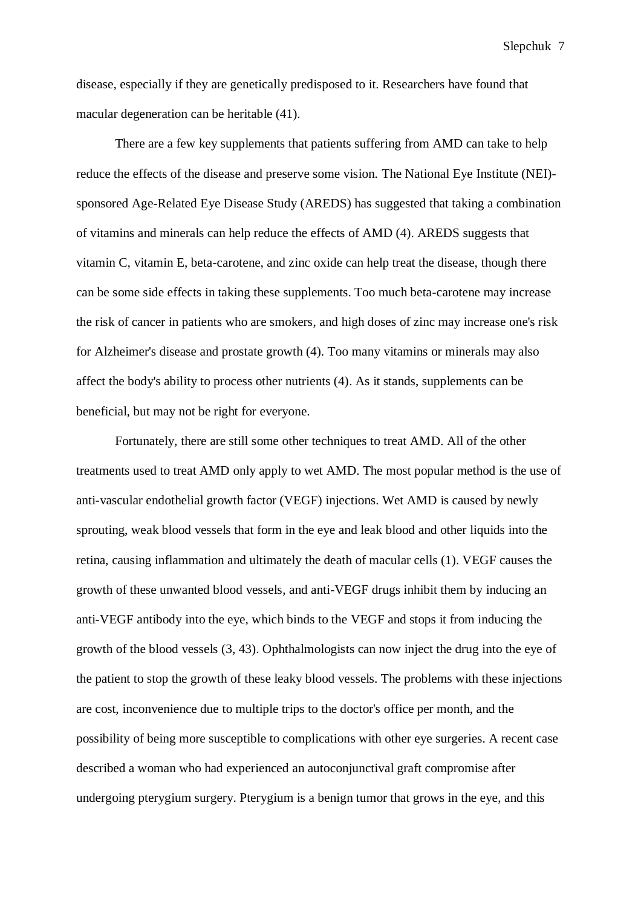disease, especially if they are genetically predisposed to it. Researchers have found that macular degeneration can be heritable (41).

There are a few key supplements that patients suffering from AMD can take to help reduce the effects of the disease and preserve some vision. The National Eye Institute (NEI) sponsored Age-Related Eye Disease Study (AREDS) has suggested that taking a combination of vitamins and minerals can help reduce the effects of AMD (4). AREDS suggests that vitamin C, vitamin E, beta-carotene, and zinc oxide can help treat the disease, though there can be some side effects in taking these supplements. Too much beta-carotene may increase the risk of cancer in patients who are smokers, and high doses of zinc may increase one's risk for Alzheimer's disease and prostate growth (4). Too many vitamins or minerals may also affect the body's ability to process other nutrients (4). As it stands, supplements can be beneficial, but may not be right for everyone.

Fortunately, there are still some other techniques to treat AMD. All of the other treatments used to treat AMD only apply to wet AMD. The most popular method is the use of anti-vascular endothelial growth factor (VEGF) injections. Wet AMD is caused by newly sprouting, weak blood vessels that form in the eye and leak blood and other liquids into the retina, causing inflammation and ultimately the death of macular cells (1). VEGF causes the growth of these unwanted blood vessels, and anti-VEGF drugs inhibit them by inducing an anti-VEGF antibody into the eye, which binds to the VEGF and stops it from inducing the growth of the blood vessels (3, 43). Ophthalmologists can now inject the drug into the eye of the patient to stop the growth of these leaky blood vessels. The problems with these injections are cost, inconvenience due to multiple trips to the doctor's office per month, and the possibility of being more susceptible to complications with other eye surgeries. A recent case described a woman who had experienced an autoconjunctival graft compromise after undergoing pterygium surgery. Pterygium is a benign tumor that grows in the eye, and this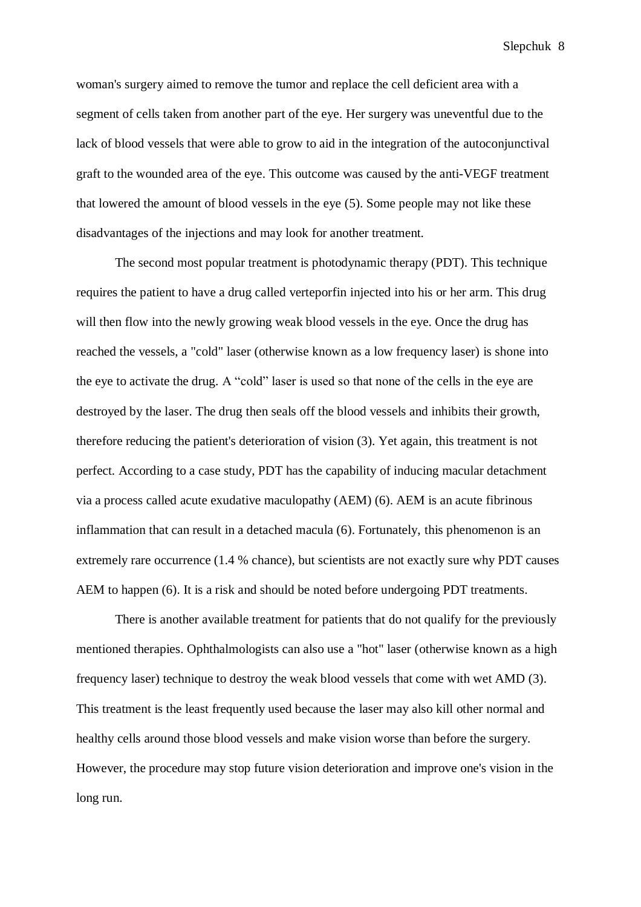woman's surgery aimed to remove the tumor and replace the cell deficient area with a segment of cells taken from another part of the eye. Her surgery was uneventful due to the lack of blood vessels that were able to grow to aid in the integration of the autoconjunctival graft to the wounded area of the eye. This outcome was caused by the anti-VEGF treatment that lowered the amount of blood vessels in the eye (5). Some people may not like these disadvantages of the injections and may look for another treatment.

The second most popular treatment is photodynamic therapy (PDT). This technique requires the patient to have a drug called verteporfin injected into his or her arm. This drug will then flow into the newly growing weak blood vessels in the eye. Once the drug has reached the vessels, a "cold" laser (otherwise known as a low frequency laser) is shone into the eye to activate the drug. A "cold" laser is used so that none of the cells in the eye are destroyed by the laser. The drug then seals off the blood vessels and inhibits their growth, therefore reducing the patient's deterioration of vision (3). Yet again, this treatment is not perfect. According to a case study, PDT has the capability of inducing macular detachment via a process called acute exudative maculopathy (AEM) (6). AEM is an acute fibrinous inflammation that can result in a detached macula (6). Fortunately, this phenomenon is an extremely rare occurrence (1.4 % chance), but scientists are not exactly sure why PDT causes AEM to happen (6). It is a risk and should be noted before undergoing PDT treatments.

There is another available treatment for patients that do not qualify for the previously mentioned therapies. Ophthalmologists can also use a "hot" laser (otherwise known as a high frequency laser) technique to destroy the weak blood vessels that come with wet AMD (3). This treatment is the least frequently used because the laser may also kill other normal and healthy cells around those blood vessels and make vision worse than before the surgery. However, the procedure may stop future vision deterioration and improve one's vision in the long run.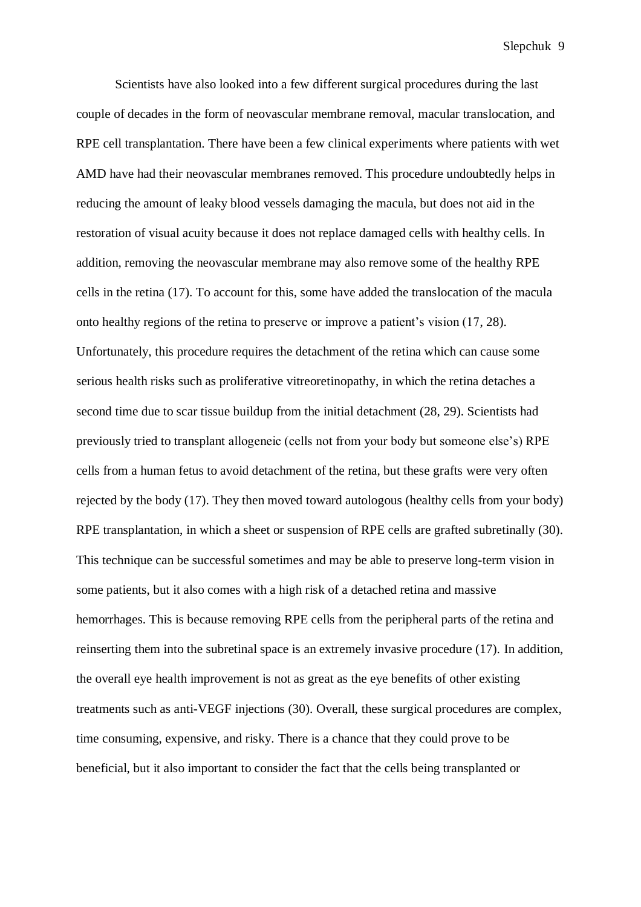Scientists have also looked into a few different surgical procedures during the last couple of decades in the form of neovascular membrane removal, macular translocation, and RPE cell transplantation. There have been a few clinical experiments where patients with wet AMD have had their neovascular membranes removed. This procedure undoubtedly helps in reducing the amount of leaky blood vessels damaging the macula, but does not aid in the restoration of visual acuity because it does not replace damaged cells with healthy cells. In addition, removing the neovascular membrane may also remove some of the healthy RPE cells in the retina (17). To account for this, some have added the translocation of the macula onto healthy regions of the retina to preserve or improve a patient's vision (17, 28). Unfortunately, this procedure requires the detachment of the retina which can cause some serious health risks such as proliferative vitreoretinopathy, in which the retina detaches a second time due to scar tissue buildup from the initial detachment (28, 29). Scientists had previously tried to transplant allogeneic (cells not from your body but someone else's) RPE cells from a human fetus to avoid detachment of the retina, but these grafts were very often rejected by the body (17). They then moved toward autologous (healthy cells from your body) RPE transplantation, in which a sheet or suspension of RPE cells are grafted subretinally (30). This technique can be successful sometimes and may be able to preserve long-term vision in some patients, but it also comes with a high risk of a detached retina and massive hemorrhages. This is because removing RPE cells from the peripheral parts of the retina and reinserting them into the subretinal space is an extremely invasive procedure (17). In addition, the overall eye health improvement is not as great as the eye benefits of other existing treatments such as anti-VEGF injections (30). Overall, these surgical procedures are complex, time consuming, expensive, and risky. There is a chance that they could prove to be beneficial, but it also important to consider the fact that the cells being transplanted or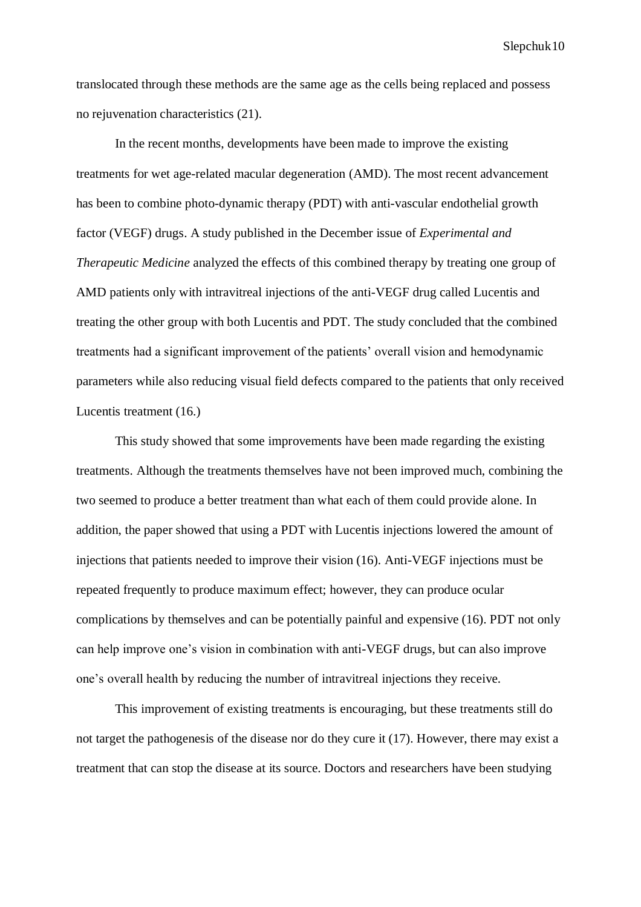translocated through these methods are the same age as the cells being replaced and possess no rejuvenation characteristics (21).

In the recent months, developments have been made to improve the existing treatments for wet age-related macular degeneration (AMD). The most recent advancement has been to combine photo-dynamic therapy (PDT) with anti-vascular endothelial growth factor (VEGF) drugs. A study published in the December issue of *Experimental and Therapeutic Medicine* analyzed the effects of this combined therapy by treating one group of AMD patients only with intravitreal injections of the anti-VEGF drug called Lucentis and treating the other group with both Lucentis and PDT. The study concluded that the combined treatments had a significant improvement of the patients' overall vision and hemodynamic parameters while also reducing visual field defects compared to the patients that only received Lucentis treatment (16.)

This study showed that some improvements have been made regarding the existing treatments. Although the treatments themselves have not been improved much, combining the two seemed to produce a better treatment than what each of them could provide alone. In addition, the paper showed that using a PDT with Lucentis injections lowered the amount of injections that patients needed to improve their vision (16). Anti-VEGF injections must be repeated frequently to produce maximum effect; however, they can produce ocular complications by themselves and can be potentially painful and expensive (16). PDT not only can help improve one's vision in combination with anti-VEGF drugs, but can also improve one's overall health by reducing the number of intravitreal injections they receive.

This improvement of existing treatments is encouraging, but these treatments still do not target the pathogenesis of the disease nor do they cure it (17). However, there may exist a treatment that can stop the disease at its source. Doctors and researchers have been studying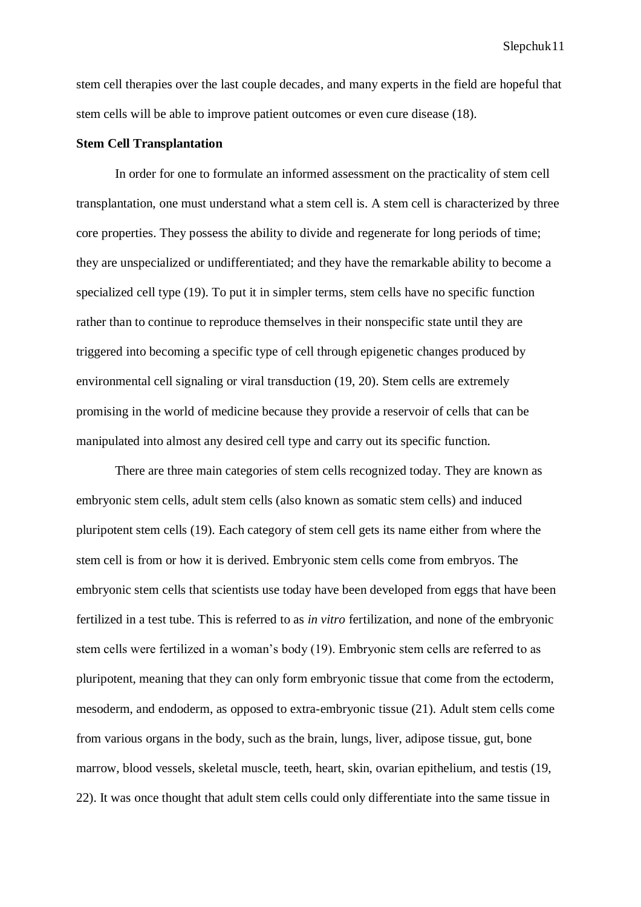stem cell therapies over the last couple decades, and many experts in the field are hopeful that stem cells will be able to improve patient outcomes or even cure disease (18).

#### **Stem Cell Transplantation**

In order for one to formulate an informed assessment on the practicality of stem cell transplantation, one must understand what a stem cell is. A stem cell is characterized by three core properties. They possess the ability to divide and regenerate for long periods of time; they are unspecialized or undifferentiated; and they have the remarkable ability to become a specialized cell type (19). To put it in simpler terms, stem cells have no specific function rather than to continue to reproduce themselves in their nonspecific state until they are triggered into becoming a specific type of cell through epigenetic changes produced by environmental cell signaling or viral transduction (19, 20). Stem cells are extremely promising in the world of medicine because they provide a reservoir of cells that can be manipulated into almost any desired cell type and carry out its specific function.

There are three main categories of stem cells recognized today. They are known as embryonic stem cells, adult stem cells (also known as somatic stem cells) and induced pluripotent stem cells (19). Each category of stem cell gets its name either from where the stem cell is from or how it is derived. Embryonic stem cells come from embryos. The embryonic stem cells that scientists use today have been developed from eggs that have been fertilized in a test tube. This is referred to as *in vitro* fertilization, and none of the embryonic stem cells were fertilized in a woman's body (19). Embryonic stem cells are referred to as pluripotent, meaning that they can only form embryonic tissue that come from the ectoderm, mesoderm, and endoderm, as opposed to extra-embryonic tissue (21). Adult stem cells come from various organs in the body, such as the brain, lungs, liver, adipose tissue, gut, bone marrow, blood vessels, skeletal muscle, teeth, heart, skin, ovarian epithelium, and testis (19, 22). It was once thought that adult stem cells could only differentiate into the same tissue in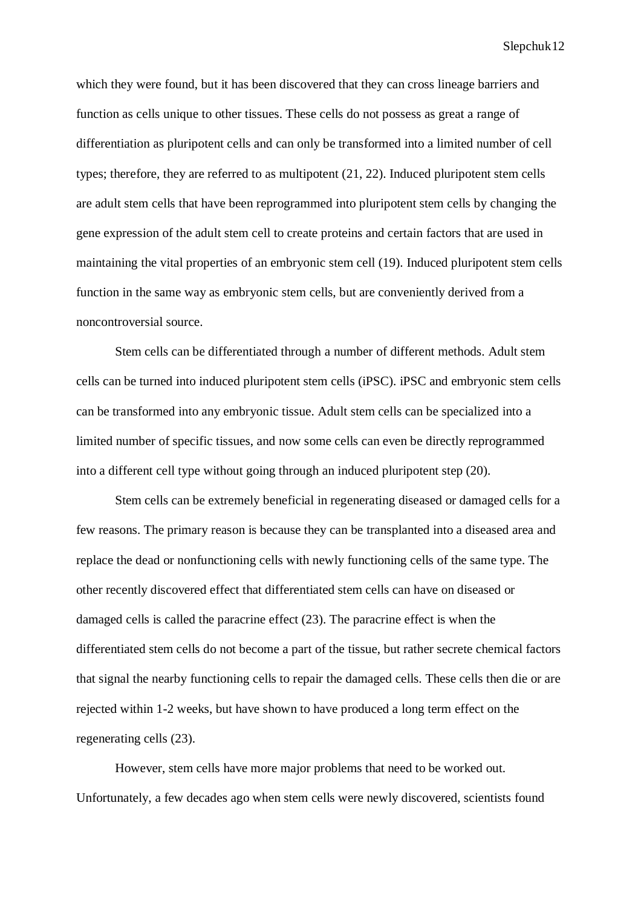which they were found, but it has been discovered that they can cross lineage barriers and function as cells unique to other tissues. These cells do not possess as great a range of differentiation as pluripotent cells and can only be transformed into a limited number of cell types; therefore, they are referred to as multipotent (21, 22). Induced pluripotent stem cells are adult stem cells that have been reprogrammed into pluripotent stem cells by changing the gene expression of the adult stem cell to create proteins and certain factors that are used in maintaining the vital properties of an embryonic stem cell (19). Induced pluripotent stem cells function in the same way as embryonic stem cells, but are conveniently derived from a noncontroversial source.

Stem cells can be differentiated through a number of different methods. Adult stem cells can be turned into induced pluripotent stem cells (iPSC). iPSC and embryonic stem cells can be transformed into any embryonic tissue. Adult stem cells can be specialized into a limited number of specific tissues, and now some cells can even be directly reprogrammed into a different cell type without going through an induced pluripotent step (20).

Stem cells can be extremely beneficial in regenerating diseased or damaged cells for a few reasons. The primary reason is because they can be transplanted into a diseased area and replace the dead or nonfunctioning cells with newly functioning cells of the same type. The other recently discovered effect that differentiated stem cells can have on diseased or damaged cells is called the paracrine effect (23). The paracrine effect is when the differentiated stem cells do not become a part of the tissue, but rather secrete chemical factors that signal the nearby functioning cells to repair the damaged cells. These cells then die or are rejected within 1-2 weeks, but have shown to have produced a long term effect on the regenerating cells (23).

However, stem cells have more major problems that need to be worked out. Unfortunately, a few decades ago when stem cells were newly discovered, scientists found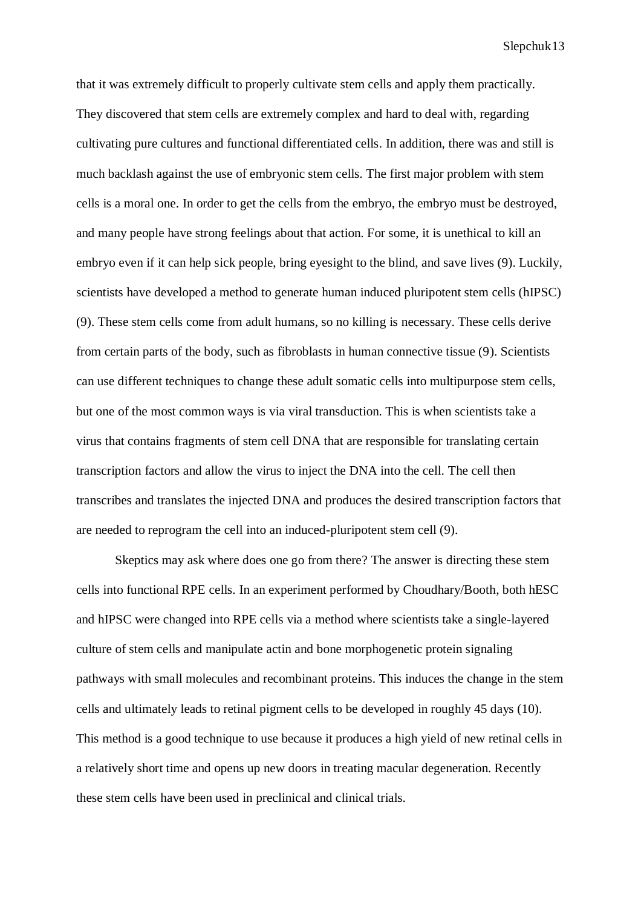that it was extremely difficult to properly cultivate stem cells and apply them practically. They discovered that stem cells are extremely complex and hard to deal with, regarding cultivating pure cultures and functional differentiated cells. In addition, there was and still is much backlash against the use of embryonic stem cells. The first major problem with stem cells is a moral one. In order to get the cells from the embryo, the embryo must be destroyed, and many people have strong feelings about that action. For some, it is unethical to kill an embryo even if it can help sick people, bring eyesight to the blind, and save lives (9). Luckily, scientists have developed a method to generate human induced pluripotent stem cells (hIPSC) (9). These stem cells come from adult humans, so no killing is necessary. These cells derive from certain parts of the body, such as fibroblasts in human connective tissue (9). Scientists can use different techniques to change these adult somatic cells into multipurpose stem cells, but one of the most common ways is via viral transduction. This is when scientists take a virus that contains fragments of stem cell DNA that are responsible for translating certain transcription factors and allow the virus to inject the DNA into the cell. The cell then transcribes and translates the injected DNA and produces the desired transcription factors that are needed to reprogram the cell into an induced-pluripotent stem cell (9).

Skeptics may ask where does one go from there? The answer is directing these stem cells into functional RPE cells. In an experiment performed by Choudhary/Booth, both hESC and hIPSC were changed into RPE cells via a method where scientists take a single-layered culture of stem cells and manipulate actin and bone morphogenetic protein signaling pathways with small molecules and recombinant proteins. This induces the change in the stem cells and ultimately leads to retinal pigment cells to be developed in roughly 45 days (10). This method is a good technique to use because it produces a high yield of new retinal cells in a relatively short time and opens up new doors in treating macular degeneration. Recently these stem cells have been used in preclinical and clinical trials.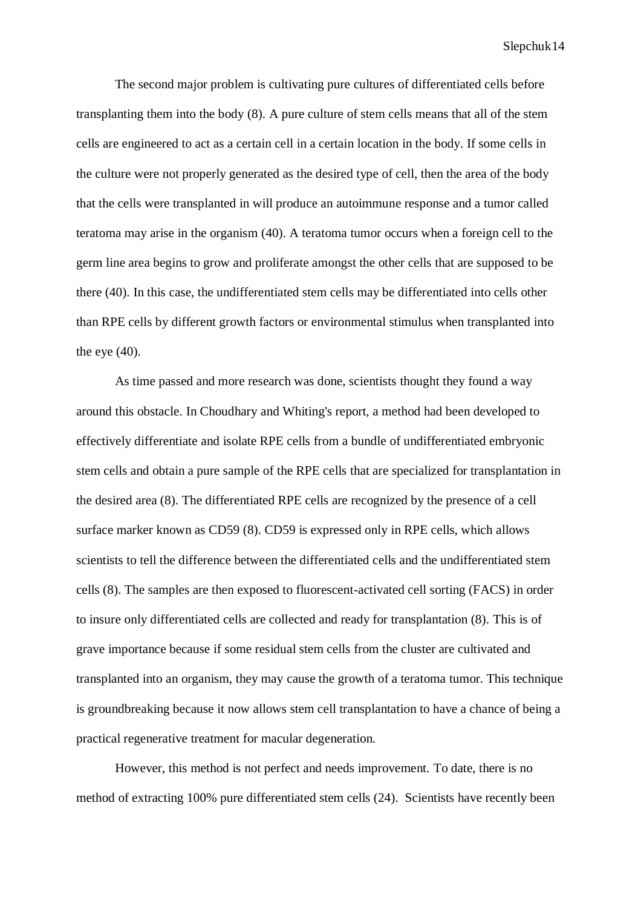The second major problem is cultivating pure cultures of differentiated cells before transplanting them into the body (8). A pure culture of stem cells means that all of the stem cells are engineered to act as a certain cell in a certain location in the body. If some cells in the culture were not properly generated as the desired type of cell, then the area of the body that the cells were transplanted in will produce an autoimmune response and a tumor called teratoma may arise in the organism (40). A teratoma tumor occurs when a foreign cell to the germ line area begins to grow and proliferate amongst the other cells that are supposed to be there (40). In this case, the undifferentiated stem cells may be differentiated into cells other than RPE cells by different growth factors or environmental stimulus when transplanted into the eye  $(40)$ .

As time passed and more research was done, scientists thought they found a way around this obstacle. In Choudhary and Whiting's report, a method had been developed to effectively differentiate and isolate RPE cells from a bundle of undifferentiated embryonic stem cells and obtain a pure sample of the RPE cells that are specialized for transplantation in the desired area (8). The differentiated RPE cells are recognized by the presence of a cell surface marker known as CD59 (8). CD59 is expressed only in RPE cells, which allows scientists to tell the difference between the differentiated cells and the undifferentiated stem cells (8). The samples are then exposed to fluorescent-activated cell sorting (FACS) in order to insure only differentiated cells are collected and ready for transplantation (8). This is of grave importance because if some residual stem cells from the cluster are cultivated and transplanted into an organism, they may cause the growth of a teratoma tumor. This technique is groundbreaking because it now allows stem cell transplantation to have a chance of being a practical regenerative treatment for macular degeneration.

However, this method is not perfect and needs improvement. To date, there is no method of extracting 100% pure differentiated stem cells (24). Scientists have recently been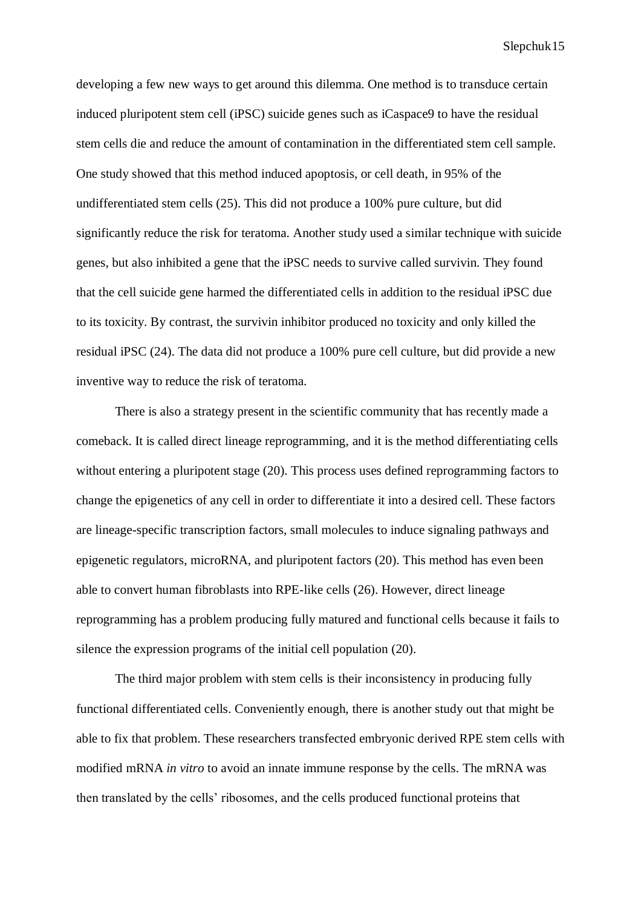developing a few new ways to get around this dilemma. One method is to transduce certain induced pluripotent stem cell (iPSC) suicide genes such as iCaspace9 to have the residual stem cells die and reduce the amount of contamination in the differentiated stem cell sample. One study showed that this method induced apoptosis, or cell death, in 95% of the undifferentiated stem cells (25). This did not produce a 100% pure culture, but did significantly reduce the risk for teratoma. Another study used a similar technique with suicide genes, but also inhibited a gene that the iPSC needs to survive called survivin. They found that the cell suicide gene harmed the differentiated cells in addition to the residual iPSC due to its toxicity. By contrast, the survivin inhibitor produced no toxicity and only killed the residual iPSC (24). The data did not produce a 100% pure cell culture, but did provide a new inventive way to reduce the risk of teratoma.

There is also a strategy present in the scientific community that has recently made a comeback. It is called direct lineage reprogramming, and it is the method differentiating cells without entering a pluripotent stage (20). This process uses defined reprogramming factors to change the epigenetics of any cell in order to differentiate it into a desired cell. These factors are lineage-specific transcription factors, small molecules to induce signaling pathways and epigenetic regulators, microRNA, and pluripotent factors (20). This method has even been able to convert human fibroblasts into RPE-like cells (26). However, direct lineage reprogramming has a problem producing fully matured and functional cells because it fails to silence the expression programs of the initial cell population (20).

The third major problem with stem cells is their inconsistency in producing fully functional differentiated cells. Conveniently enough, there is another study out that might be able to fix that problem. These researchers transfected embryonic derived RPE stem cells with modified mRNA *in vitro* to avoid an innate immune response by the cells*.* The mRNA was then translated by the cells' ribosomes, and the cells produced functional proteins that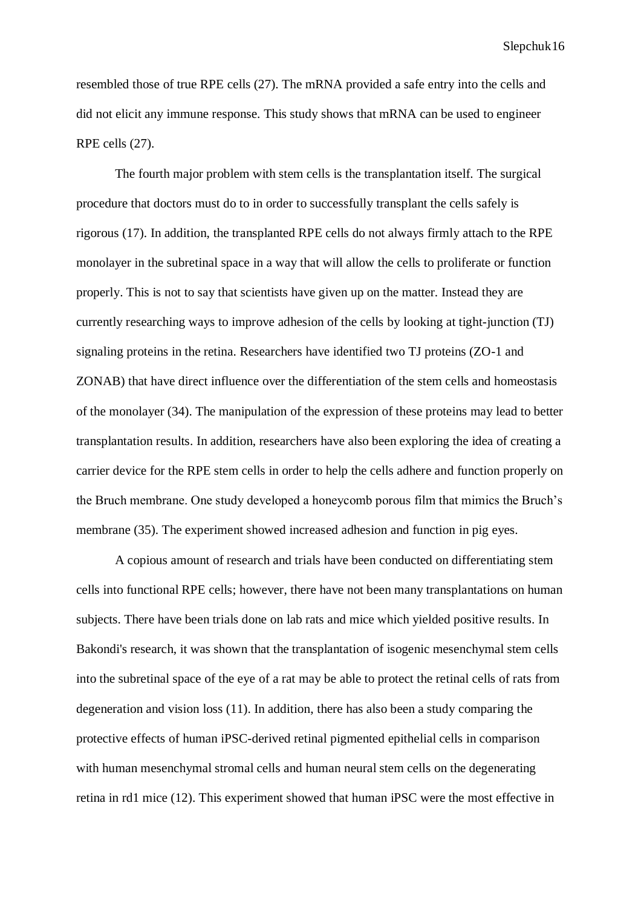resembled those of true RPE cells (27). The mRNA provided a safe entry into the cells and did not elicit any immune response. This study shows that mRNA can be used to engineer RPE cells (27).

The fourth major problem with stem cells is the transplantation itself. The surgical procedure that doctors must do to in order to successfully transplant the cells safely is rigorous (17). In addition, the transplanted RPE cells do not always firmly attach to the RPE monolayer in the subretinal space in a way that will allow the cells to proliferate or function properly. This is not to say that scientists have given up on the matter. Instead they are currently researching ways to improve adhesion of the cells by looking at tight-junction (TJ) signaling proteins in the retina. Researchers have identified two TJ proteins (ZO-1 and ZONAB) that have direct influence over the differentiation of the stem cells and homeostasis of the monolayer (34). The manipulation of the expression of these proteins may lead to better transplantation results. In addition, researchers have also been exploring the idea of creating a carrier device for the RPE stem cells in order to help the cells adhere and function properly on the Bruch membrane. One study developed a honeycomb porous film that mimics the Bruch's membrane (35). The experiment showed increased adhesion and function in pig eyes.

A copious amount of research and trials have been conducted on differentiating stem cells into functional RPE cells; however, there have not been many transplantations on human subjects. There have been trials done on lab rats and mice which yielded positive results. In Bakondi's research, it was shown that the transplantation of isogenic mesenchymal stem cells into the subretinal space of the eye of a rat may be able to protect the retinal cells of rats from degeneration and vision loss (11). In addition, there has also been a study comparing the protective effects of human iPSC-derived retinal pigmented epithelial cells in comparison with human mesenchymal stromal cells and human neural stem cells on the degenerating retina in rd1 mice (12). This experiment showed that human iPSC were the most effective in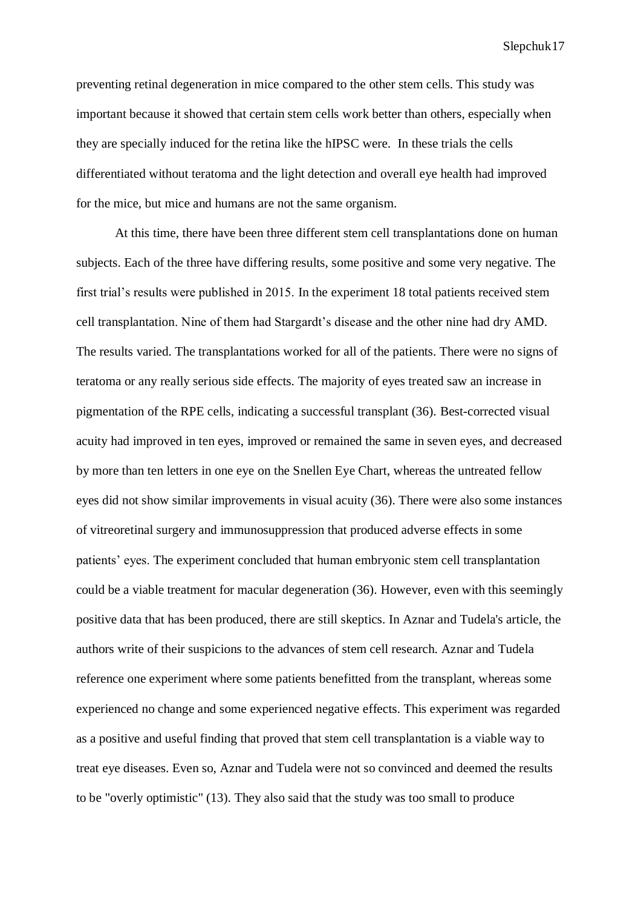preventing retinal degeneration in mice compared to the other stem cells. This study was important because it showed that certain stem cells work better than others, especially when they are specially induced for the retina like the hIPSC were. In these trials the cells differentiated without teratoma and the light detection and overall eye health had improved for the mice, but mice and humans are not the same organism.

At this time, there have been three different stem cell transplantations done on human subjects. Each of the three have differing results, some positive and some very negative. The first trial's results were published in 2015. In the experiment 18 total patients received stem cell transplantation. Nine of them had Stargardt's disease and the other nine had dry AMD. The results varied. The transplantations worked for all of the patients. There were no signs of teratoma or any really serious side effects. The majority of eyes treated saw an increase in pigmentation of the RPE cells, indicating a successful transplant (36). Best-corrected visual acuity had improved in ten eyes, improved or remained the same in seven eyes, and decreased by more than ten letters in one eye on the Snellen Eye Chart, whereas the untreated fellow eyes did not show similar improvements in visual acuity (36). There were also some instances of vitreoretinal surgery and immunosuppression that produced adverse effects in some patients' eyes. The experiment concluded that human embryonic stem cell transplantation could be a viable treatment for macular degeneration (36). However, even with this seemingly positive data that has been produced, there are still skeptics. In Aznar and Tudela's article, the authors write of their suspicions to the advances of stem cell research. Aznar and Tudela reference one experiment where some patients benefitted from the transplant, whereas some experienced no change and some experienced negative effects. This experiment was regarded as a positive and useful finding that proved that stem cell transplantation is a viable way to treat eye diseases. Even so, Aznar and Tudela were not so convinced and deemed the results to be "overly optimistic" (13). They also said that the study was too small to produce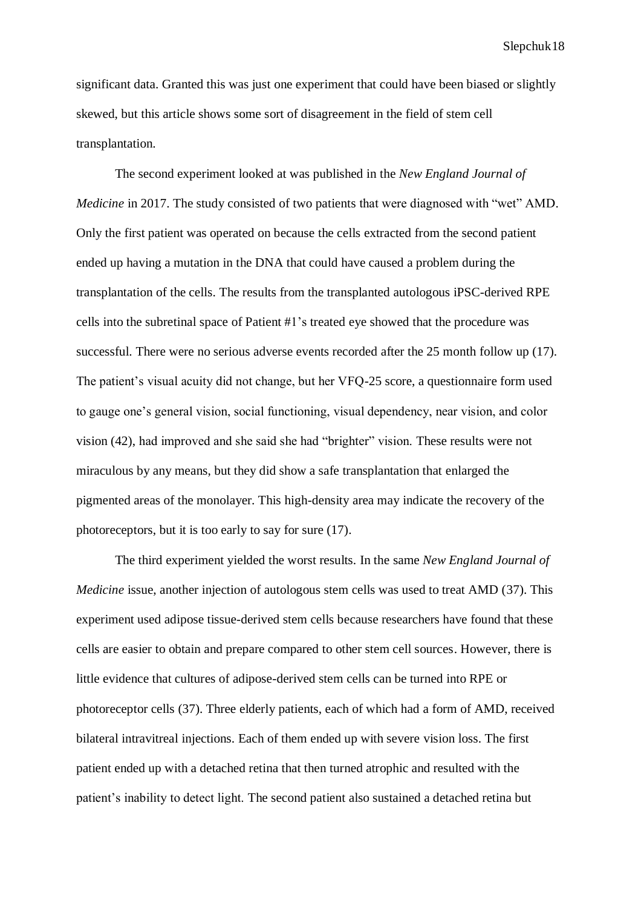significant data. Granted this was just one experiment that could have been biased or slightly skewed, but this article shows some sort of disagreement in the field of stem cell transplantation.

The second experiment looked at was published in the *New England Journal of Medicine* in 2017. The study consisted of two patients that were diagnosed with "wet" AMD. Only the first patient was operated on because the cells extracted from the second patient ended up having a mutation in the DNA that could have caused a problem during the transplantation of the cells. The results from the transplanted autologous iPSC-derived RPE cells into the subretinal space of Patient #1's treated eye showed that the procedure was successful. There were no serious adverse events recorded after the 25 month follow up (17). The patient's visual acuity did not change, but her VFQ-25 score, a questionnaire form used to gauge one's general vision, social functioning, visual dependency, near vision, and color vision (42), had improved and she said she had "brighter" vision. These results were not miraculous by any means, but they did show a safe transplantation that enlarged the pigmented areas of the monolayer. This high-density area may indicate the recovery of the photoreceptors, but it is too early to say for sure (17).

The third experiment yielded the worst results. In the same *New England Journal of Medicine* issue, another injection of autologous stem cells was used to treat AMD (37). This experiment used adipose tissue-derived stem cells because researchers have found that these cells are easier to obtain and prepare compared to other stem cell sources. However, there is little evidence that cultures of adipose-derived stem cells can be turned into RPE or photoreceptor cells (37). Three elderly patients, each of which had a form of AMD, received bilateral intravitreal injections. Each of them ended up with severe vision loss. The first patient ended up with a detached retina that then turned atrophic and resulted with the patient's inability to detect light. The second patient also sustained a detached retina but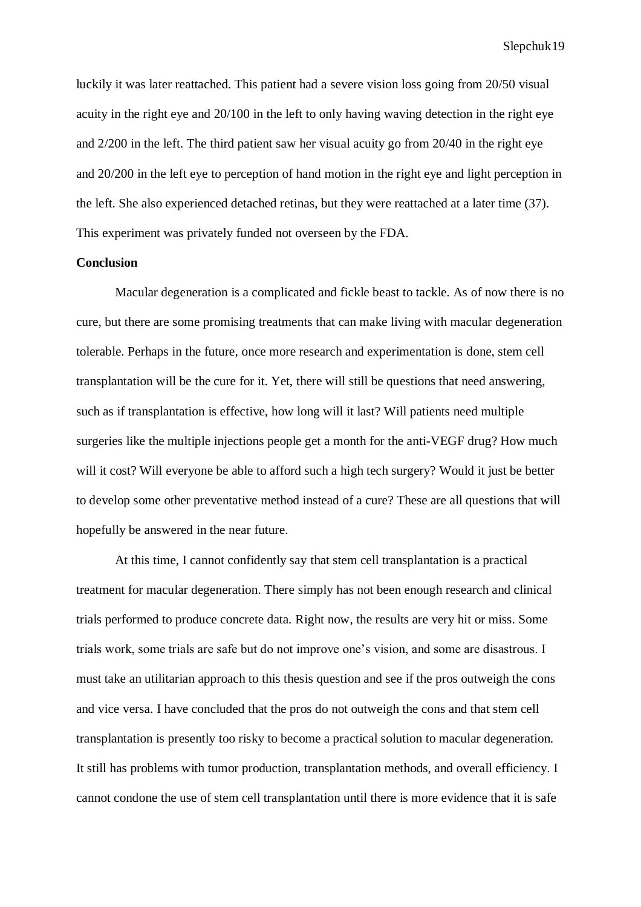luckily it was later reattached. This patient had a severe vision loss going from 20/50 visual acuity in the right eye and 20/100 in the left to only having waving detection in the right eye and 2/200 in the left. The third patient saw her visual acuity go from 20/40 in the right eye and 20/200 in the left eye to perception of hand motion in the right eye and light perception in the left. She also experienced detached retinas, but they were reattached at a later time (37). This experiment was privately funded not overseen by the FDA.

#### **Conclusion**

Macular degeneration is a complicated and fickle beast to tackle. As of now there is no cure, but there are some promising treatments that can make living with macular degeneration tolerable. Perhaps in the future, once more research and experimentation is done, stem cell transplantation will be the cure for it. Yet, there will still be questions that need answering, such as if transplantation is effective, how long will it last? Will patients need multiple surgeries like the multiple injections people get a month for the anti-VEGF drug? How much will it cost? Will everyone be able to afford such a high tech surgery? Would it just be better to develop some other preventative method instead of a cure? These are all questions that will hopefully be answered in the near future.

At this time, I cannot confidently say that stem cell transplantation is a practical treatment for macular degeneration. There simply has not been enough research and clinical trials performed to produce concrete data. Right now, the results are very hit or miss. Some trials work, some trials are safe but do not improve one's vision, and some are disastrous. I must take an utilitarian approach to this thesis question and see if the pros outweigh the cons and vice versa. I have concluded that the pros do not outweigh the cons and that stem cell transplantation is presently too risky to become a practical solution to macular degeneration. It still has problems with tumor production, transplantation methods, and overall efficiency. I cannot condone the use of stem cell transplantation until there is more evidence that it is safe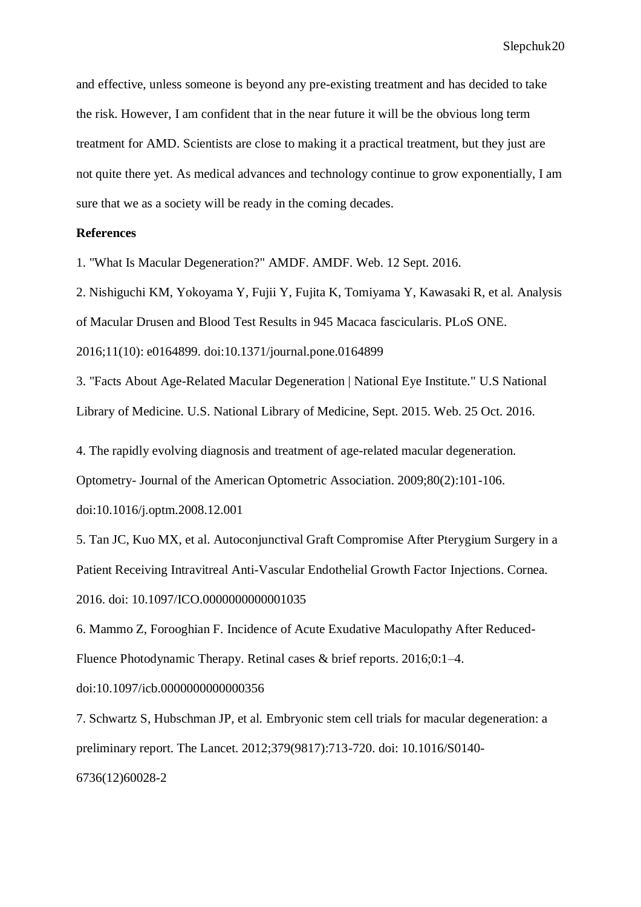and effective, unless someone is beyond any pre-existing treatment and has decided to take the risk. However, I am confident that in the near future it will be the obvious long term treatment for AMD. Scientists are close to making it a practical treatment, but they just are not quite there yet. As medical advances and technology continue to grow exponentially, I am sure that we as a society will be ready in the coming decades.

# **References**

1. "What Is Macular Degeneration?" AMDF. AMDF. Web. 12 Sept. 2016.

2. Nishiguchi KM, Yokoyama Y, Fujii Y, Fujita K, Tomiyama Y, Kawasaki R, et al. Analysis of Macular Drusen and Blood Test Results in 945 Macaca fascicularis. PLoS ONE. 2016;11(10): e0164899. doi:10.1371/journal.pone.0164899

3. "Facts About Age-Related Macular Degeneration | National Eye Institute." U.S National Library of Medicine. U.S. National Library of Medicine, Sept. 2015. Web. 25 Oct. 2016.

4. The rapidly evolving diagnosis and treatment of age-related macular degeneration.

Optometry- Journal of the American Optometric Association. 2009;80(2):101-106.

[doi:10.1016/j.optm.2008.12.001](http://dx.doi.org/10.1016/j.optm.2008.12.001)

5. Tan JC, Kuo MX, et al. Autoconjunctival Graft Compromise After Pterygium Surgery in a Patient Receiving Intravitreal Anti-Vascular Endothelial Growth Factor Injections. Cornea. 2016. doi: [10.1097/ICO.0000000000001035](https://dx.doi.org/10.1097/ICO.0000000000001035)

6. Mammo Z, Forooghian F. Incidence of Acute Exudative Maculopathy After Reduced-Fluence Photodynamic Therapy. Retinal cases & brief reports. 2016;0:1–4.

doi[:10.1097/icb.0000000000000356](https://dx.doi.org/10.1097/ICB.0000000000000356)

7. Schwartz S, Hubschman JP, et al. Embryonic stem cell trials for macular degeneration: a preliminary report. The Lancet. 2012;379(9817):713-720. doi: [10.1016/S0140-](http://dx.doi.org/10.1016/S0140-6736(12)60028-2) [6736\(12\)60028-2](http://dx.doi.org/10.1016/S0140-6736(12)60028-2)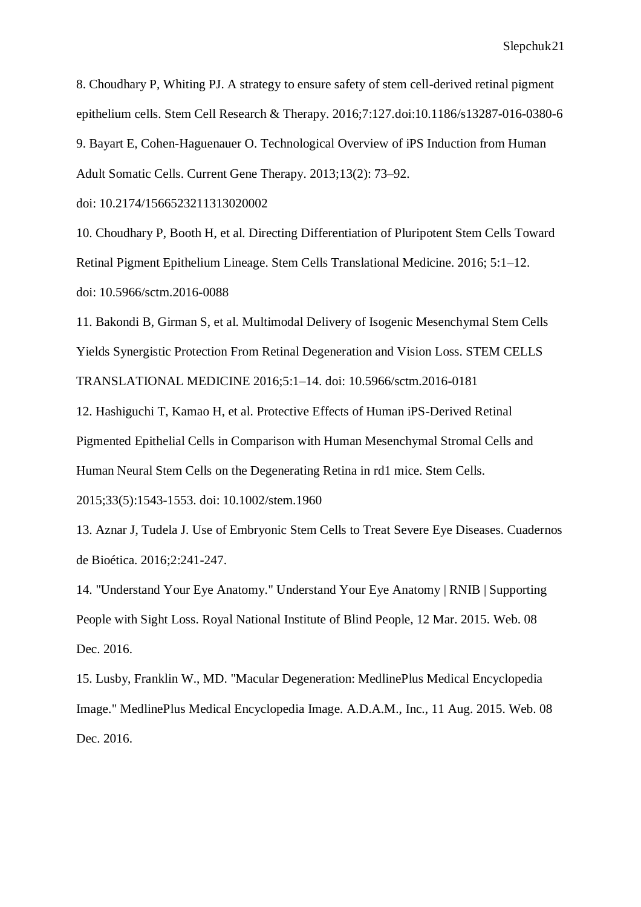8. Choudhary P, Whiting PJ. A strategy to ensure safety of stem cell-derived retinal pigment epithelium cells. Stem Cell Research & Therapy. 2016;7:127.doi:10.1186/s13287-016-0380-6 9. [Bayart](https://www.ncbi.nlm.nih.gov/pubmed/?term=Bayart%20E%5BAuthor%5D&cauthor=true&cauthor_uid=23320476) E, [Cohen-Haguenauer](https://www.ncbi.nlm.nih.gov/pubmed/?term=Cohen-Haguenauer%20O%5BAuthor%5D&cauthor=true&cauthor_uid=23320476) O. Technological Overview of iPS Induction from Human Adult Somatic Cells. Current Gene Therapy. 2013;13(2): 73–92.

doi: [10.2174/1566523211313020002](https://dx.doi.org/10.2174%2F1566523211313020002)

10. Choudhary P, Booth H, et al. Directing Differentiation of Pluripotent Stem Cells Toward Retinal Pigment Epithelium Lineage. Stem Cells Translational Medicine. 2016; 5:1–12. doi: 10.5966/sctm.2016-0088

11. Bakondi B, Girman S, et al. Multimodal Delivery of Isogenic Mesenchymal Stem Cells Yields Synergistic Protection From Retinal Degeneration and Vision Loss. STEM CELLS TRANSLATIONAL MEDICINE 2016;5:1–14. doi: 10.5966/sctm.2016-0181

12. Hashiguchi T, Kamao H, et al. Protective Effects of Human iPS-Derived Retinal Pigmented Epithelial Cells in Comparison with Human Mesenchymal Stromal Cells and Human Neural Stem Cells on the Degenerating Retina in rd1 mice. Stem Cells.

2015;33(5):1543-1553. doi: 10.1002/stem.1960

13. Aznar J, Tudela J. Use of Embryonic Stem Cells to Treat Severe Eye Diseases. Cuadernos de Bioética. 2016;2:241-247.

14. "Understand Your Eye Anatomy." Understand Your Eye Anatomy | RNIB | Supporting People with Sight Loss. Royal National Institute of Blind People, 12 Mar. 2015. Web. 08 Dec. 2016.

15. Lusby, Franklin W., MD. "Macular Degeneration: MedlinePlus Medical Encyclopedia Image." MedlinePlus Medical Encyclopedia Image. A.D.A.M., Inc., 11 Aug. 2015. Web. 08 Dec. 2016.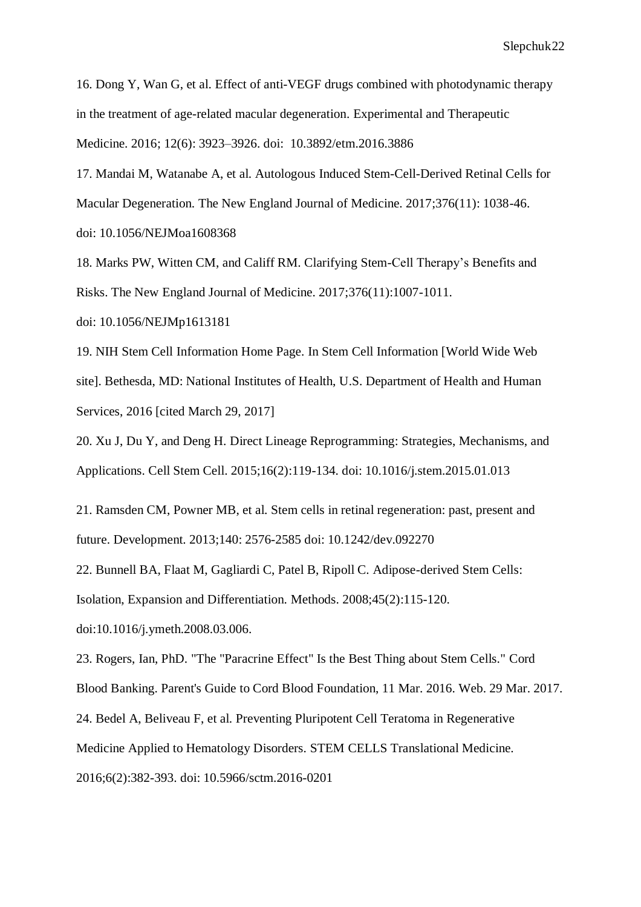16. Dong Y, Wan G, et al. Effect of anti-VEGF drugs combined with photodynamic therapy in the treatment of age-related macular degeneration. Experimental and Therapeutic Medicine. 2016; 12(6): 3923–3926. doi: [10.3892/etm.2016.3886](https://dx.doi.org/10.3892%2Fetm.2016.3886)

17. Mandai M, Watanabe A, et al. Autologous Induced Stem-Cell-Derived Retinal Cells for Macular Degeneration. The New England Journal of Medicine. 2017;376(11): 1038-46. doi: 10.1056/NEJMoa1608368

18. Marks PW, Witten CM, and Califf RM. Clarifying Stem-Cell Therapy's Benefits and Risks. The New England Journal of Medicine. 2017;376(11):1007-1011.

doi: 10.1056/NEJMp1613181

19. NIH Stem Cell Information Home Page. In Stem Cell Information [World Wide Web site]. Bethesda, MD: National Institutes of Health, U.S. Department of Health and Human Services, 2016 [cited March 29, 2017]

20. Xu J, Du Y, and Deng H. Direct Lineage Reprogramming: Strategies, Mechanisms, and Applications. Cell Stem Cell. 2015;16(2):119-134. doi: 10.1016/j.stem.2015.01.013

21. Ramsden CM, Powner MB, et al. Stem cells in retinal regeneration: past, present and future. Development. 2013;140: 2576-2585 doi: 10.1242/dev.092270

22. Bunnell BA, Flaat M, Gagliardi C, Patel B, Ripoll C. Adipose-derived Stem Cells:

Isolation, Expansion and Differentiation. Methods. 2008;45(2):115-120.

doi:10.1016/j.ymeth.2008.03.006.

23. Rogers, Ian, PhD. "The "Paracrine Effect" Is the Best Thing about Stem Cells." Cord

Blood Banking. Parent's Guide to Cord Blood Foundation, 11 Mar. 2016. Web. 29 Mar. 2017.

24. Bedel A, Beliveau F, et al. Preventing Pluripotent Cell Teratoma in Regenerative

Medicine Applied to Hematology Disorders. STEM CELLS Translational Medicine.

2016;6(2):382-393. doi: 10.5966/sctm.2016-0201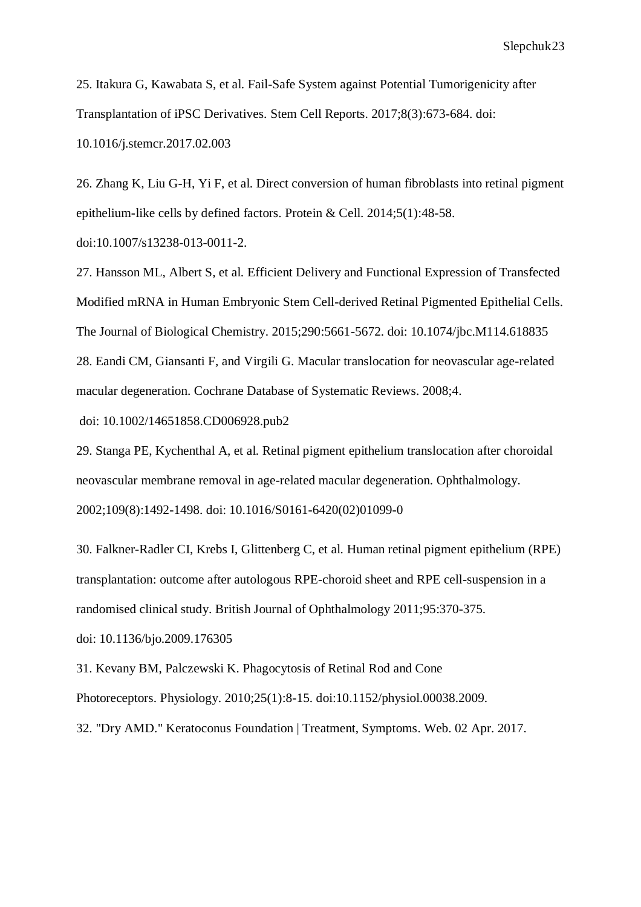25. Itakura G, Kawabata S, et al. Fail-Safe System against Potential Tumorigenicity after Transplantation of iPSC Derivatives. Stem Cell Reports. 2017;8(3):673-684. doi: 10.1016/j.stemcr.2017.02.003

26. Zhang K, Liu G-H, Yi F, et al. Direct conversion of human fibroblasts into retinal pigment epithelium-like cells by defined factors. Protein & Cell. 2014;5(1):48-58. doi:10.1007/s13238-013-0011-2.

27. Hansson ML, Albert S, et al. Efficient Delivery and Functional Expression of Transfected Modified mRNA in Human Embryonic Stem Cell-derived Retinal Pigmented Epithelial Cells. The Journal of Biological Chemistry. 2015;290:5661-5672. doi: 10.1074/jbc.M114.618835 28. Eandi CM, Giansanti F, and Virgili G. Macular translocation for neovascular age-related macular degeneration. Cochrane Database of Systematic Reviews. 2008;4.

doi: 10.1002/14651858.CD006928.pub2

29. Stanga PE, Kychenthal A, et al. Retinal pigment epithelium translocation after choroidal neovascular membrane removal in age-related macular degeneration. Ophthalmology. 2002;109(8):1492-1498. doi: 10.1016/S0161-6420(02)01099-0

30. Falkner-Radler CI, Krebs I, Glittenberg C, et al. Human retinal pigment epithelium (RPE) transplantation: outcome after autologous RPE-choroid sheet and RPE cell-suspension in a randomised clinical study. British Journal of Ophthalmology 2011;95:370-375.

doi: 10.1136/bjo.2009.176305

31. Kevany BM, Palczewski K. Phagocytosis of Retinal Rod and Cone

Photoreceptors. Physiology. 2010;25(1):8-15. doi:10.1152/physiol.00038.2009.

32. "Dry AMD." Keratoconus Foundation | Treatment, Symptoms. Web. 02 Apr. 2017.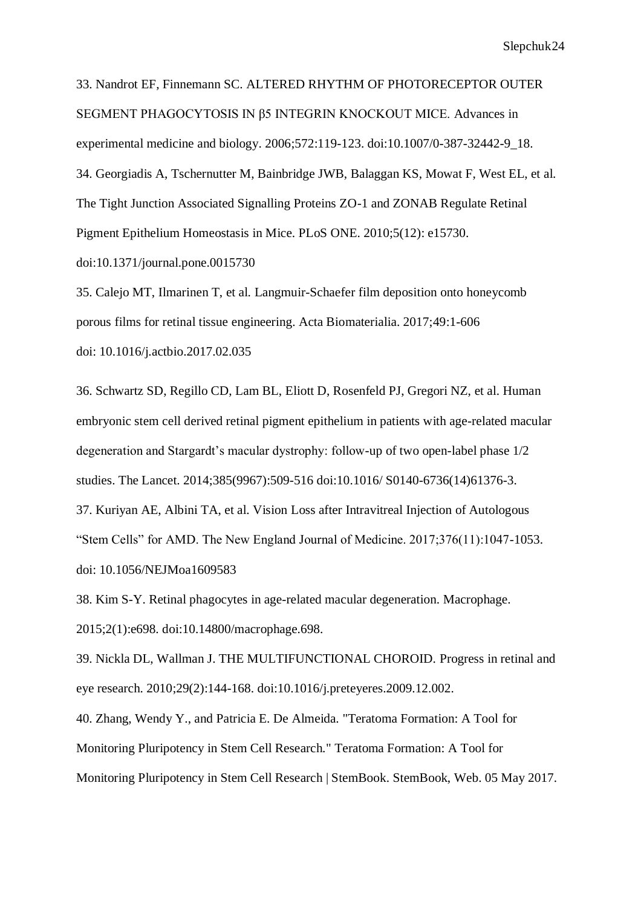33. Nandrot EF, Finnemann SC. ALTERED RHYTHM OF PHOTORECEPTOR OUTER SEGMENT PHAGOCYTOSIS IN β5 INTEGRIN KNOCKOUT MICE. Advances in experimental medicine and biology. 2006;572:119-123. doi:10.1007/0-387-32442-9\_18. 34. Georgiadis A, Tschernutter M, Bainbridge JWB, Balaggan KS, Mowat F, West EL, et al. The Tight Junction Associated Signalling Proteins ZO-1 and ZONAB Regulate Retinal Pigment Epithelium Homeostasis in Mice. PLoS ONE. 2010;5(12): e15730. doi:10.1371/journal.pone.0015730

35. Calejo MT, Ilmarinen T, et al. Langmuir-Schaefer film deposition onto honeycomb porous films for retinal tissue engineering. Acta Biomaterialia. 2017;49:1-606 doi: 10.1016/j.actbio.2017.02.035

36. Schwartz SD, Regillo CD, Lam BL, Eliott D, Rosenfeld PJ, Gregori NZ, et al. Human embryonic stem cell derived retinal pigment epithelium in patients with age-related macular degeneration and Stargardt's macular dystrophy: follow-up of two open-label phase 1/2 studies. The Lancet. 2014;385(9967):509-516 doi:10.1016/ S0140-6736(14)61376-3.

37. Kuriyan AE, Albini TA, et al. Vision Loss after Intravitreal Injection of Autologous "Stem Cells" for AMD. The New England Journal of Medicine. 2017;376(11):1047-1053. doi: 10.1056/NEJMoa1609583

38. Kim S-Y. Retinal phagocytes in age-related macular degeneration. Macrophage. 2015;2(1):e698. doi:10.14800/macrophage.698.

39. Nickla DL, Wallman J. THE MULTIFUNCTIONAL CHOROID. Progress in retinal and eye research. 2010;29(2):144-168. doi:10.1016/j.preteyeres.2009.12.002.

40. Zhang, Wendy Y., and Patricia E. De Almeida. "Teratoma Formation: A Tool for Monitoring Pluripotency in Stem Cell Research." Teratoma Formation: A Tool for Monitoring Pluripotency in Stem Cell Research | StemBook. StemBook, Web. 05 May 2017.